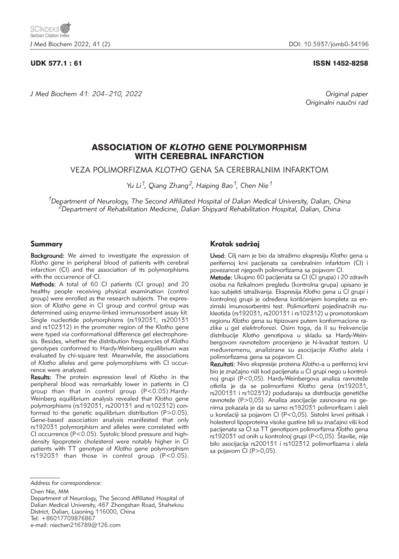*J Med Biochem 41: 204–210, 2022 Original paper*

### UDK 577.1 : 61 ISSN 1452-8258

Originalni naučni rad

# ASSOCIATION OF *KLOTHO* GENE POLYMORPHISM WITH CEREBRAL INFARCTION

VEZA POLIMORFIZMA *KLOTHO* GENA SA CEREBRALNIM INFARKTOM

*Yu Li1, Qiang Zhang2, Haiping Bao1, Chen Nie1*

*1Department of Neurology, The Second Affiliated Hospital of Dalian Medical University, Dalian, China 2Department of Rehabilitation Medicine, Dalian Shipyard Rehabilitation Hospital, Dalian, China*

## Summary

Background: We aimed to investigate the expression of *Klotho* gene in peripheral blood of patients with cerebral infarction (CI) and the association of its polymorphisms with the occurrence of CI.

Methods: A total of 60 CI patients (CI group) and 20 healthy people receiving physical examination (control group) were enrolled as the research subjects. The expression of *Klotho* gene in CI group and control group was determined using enzyme-linked immunosorbent assay kit. Single nucleotide polymorphisms (rs192031, rs200131 and rs102312) in the promoter region of the *Klotho* gene were typed *via* conformational difference gel electrophoresis. Besides, whether the distribution frequencies of *Klotho* genotypes conformed to Hardy-Weinberg equilibrium was evaluated by chi-square test. Meanwhile, the associations of *Klotho* alleles and gene polymorphisms with CI occurrence were analyzed.

Results: The protein expression level of *Klotho* in the peripheral blood was remarkably lower in patients in CI group than that in control group (P<0.05).Hardy-Weinberg equilibrium analysis revealed that *Klotho* gene polymorphisms (rs192031, rs200131 and rs102312) conformed to the genetic equilibrium distribution (P>0.05). Gene-based association analysis manifested that only rs192031 polymorphism and alleles were correlated with CI occurrence (P<0.05). Systolic blood pressure and highdensity lipoprotein cholesterol were notably higher in CI patients with TT genotype of *Klotho* gene polymorphism rs192031 than those in control group (P<0.05).

Chen Nie, MM

Department of Neurology, The Second Affiliated Hospital of Dalian Medical University, 467 Zhongshan Road, Shahekou District, Dalian, Liaoning 116000, China Tel: +86017709876867

e-mail: niechen216789@126.com

# Kratak sadržaj

Uvod: Cilj nam je bio da istra`imo ekspresiju *Klotho* gena u perifernoj krvi pacijenata sa cerebralnim infarktom (CI) i povezanost njegovih polimorfizama sa pojavom CI.

Metode: Ukupno 60 pacijenata sa CI (CI grupa) i 20 zdravih osoba na fizikalnom pregledu (kontrolna grupa) upisano je kao subjekti istra`ivanja. Ekspresija *Klotho* gena u CI grupi i kontrolnoj grupi je određena korišćenjem kompleta za enzimski imunosorbentni test. Polimorfizmi pojedinačnih nukleotida (rs192031, rs200131 i rs102312) u promotorskom regionu *Klotho* gena su tipizovani putem konformacione razlike u gel elektroforezi. Osim toga, da li su frekvencije distribucije *Klotho* genotipova u skladu sa Hardy-Wein bergovom ravnotežom procenjeno je hi-kvadrat testom. U međuvremenu, analizirane su asocijacije Klotho alela i polimorfizama gena sa pojavom CI.

Rezultati: Nivo ekspresije proteina *Klotho*-a u perifernoj krvi bio je značajno niži kod pacijenata u CI grupi nego u kontrolnoj grupi (P<0,05). Hardy-Weinbergova analiza ravnoteže otkrila je da se polimorfizmi *Klotho* gena (rs192031, rs200131 i rs102312) podudaraju sa distribucija genetičke ravnoteže (P>0,05). Analiza asocijacije zasnovana na genima pokazala je da su samo rs192031 polimorfizam i aleli u korelaciji sa pojavom CI (P<0,05). Sistolni krvni pritisak i holesterol lipoproteina visoke gustine bili su značajno viši kod pacijenata sa CI sa TT genotipom polimorfizma *Klotho* gena rs192031 od onih u kontrolnoj grupi (P<0,05). Štaviše, nije bilo asocijacija rs200131 i rs102312 polimorfizama i alela sa pojavom CI (P>0,05).

*Address for correspondence:*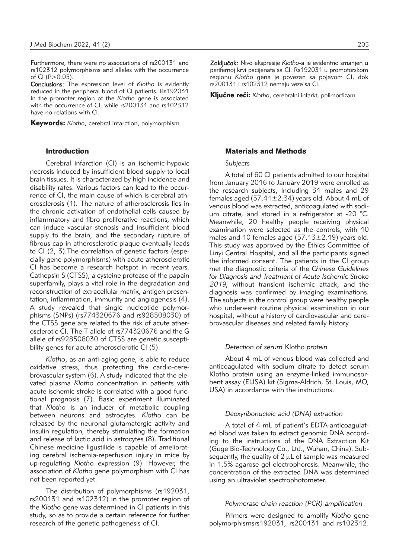Furthermore, there were no associations of rs200131 and rs102312 polymorphisms and alleles with the occurrence of CI ( $P > 0.05$ ).

Conclusions: The expression level of *Klotho* is evidently reduced in the peripheral blood of CI patients. Rs192031 in the promoter region of the *Klotho* gene is associated with the occurrence of CI, while rs200131 and rs102312 have no relations with CI.

Keywords: *Klotho*, cerebral infarction, polymorphism

### Introduction

Cerebral infarction (CI) is an ischemic-hypoxic necrosis induced by insufficient blood supply to local brain tissues. It is characterized by high incidence and disability rates. Various factors can lead to the occurrence of CI, the main cause of which is cerebral atherosclerosis (1). The nature of atherosclerosis lies in the chronic activation of endothelial cells caused by inflammatory and fibro proliferative reactions, which can induce vascular stenosis and insufficient blood supply to the brain, and the secondary rupture of fibrous cap in atherosclerotic plaque eventually leads to CI (2, 3).The correlation of genetic factors (especially gene polymorphisms) with acute atherosclerotic CI has become a research hotspot in recent years. Cathepsin S (CTSS), a cysteine protease of the papain superfamily, plays a vital role in the degradation and reconstruction of extracellular matrix, antigen presentation, inflammation, immunity and angiogenesis (4). A study revealed that single nucleotide polymorphisms (SNPs) (rs774320676 and rs928508030) of the CTSS gene are related to the risk of acute atherosclerotic CI. The T allele of rs774320676 and the G allele of rs928508030 of CTSS are genetic susceptibility genes for acute atherosclerotic CI (5).

*Klotho*, as an anti-aging gene, is able to reduce oxidative stress, thus protecting the cardio-cerebrovascular system (6). A study indicated that the elevated plasma *Klotho* concentration in patients with acute ischemic stroke is correlated with a good functional prognosis (7). Basic experiment illuminated that *Klotho* is an inducer of metabolic coupling between neurons and astrocytes. *Klotho* can be released by the neuronal glutamatergic activity and insulin regulation, thereby stimulating the formation and release of lactic acid in astrocytes (8). Traditional Chinese medicine ligustilide is capable of ameliorating cerebral ischemia-reperfusion injury in mice by up-regulating *Klotho* expression (9). However, the association of *Klotho* gene polymorphism with CI has not been reported yet.

The distribution of polymorphisms (rs192031, rs200131 and rs102312) in the promoter region of the *Klotho* gene was determined in CI patients in this study, so as to provide a certain reference for further research of the genetic pathogenesis of CI.

Zaključak: Nivo ekspresije *Klotho-a* je evidentno smanjen u perifernoj krvi pacijenata sa CI. Rs192031 u promotorskom regionu *Klotho* gena je povezan sa pojavom CI, dok rs200131 i rs102312 nemaju veze sa CI.

Kliučne reči: *Klotho, cerebralni infarkt, polimorfizam* 

### Materials and Methods

#### *Subjects*

A total of 60 CI patients admitted to our hospital from January 2016 to January 2019 were enrolled as the research subjects, including 31 males and 29 females aged (57.41 $\pm$ 2.34) years old. About 4 mL of venous blood was extracted, anticoagulated with sodium citrate, and stored in a refrigerator at -20 °C. Mean while, 20 healthy people receiving physical examination were selected as the controls, with 10 males and 10 females aged  $(57.13 \pm 2.19)$  years old. This study was approved by the Ethics Committee of Linyi Central Hospital, and all the participants signed the informed consent. The patients in the CI group met the diagnostic criteria of the *Chinese Guidelines for Diagnosis and Treatment of Acute Ischemic Stroke 2019*, without transient ischemic attack, and the diagnosis was confirmed by imaging examinations. The subjects in the control group were healthy people who underwent routine physical examination in our hospital, without a history of cardiovascular and cerebrovascular diseases and related family history.

### *Detection of serum* Klotho *protein*

About 4 mL of venous blood was collected and anticoagulated with sodium citrate to detect serum Klotho protein using an enzyme-linked immunosorbent assay (ELISA) kit (Sigma-Aldrich, St. Louis, MO, USA) in accordance with the instructions.

### *Deoxyribonucleic acid (DNA) extraction*

A total of 4 mL of patient's EDTA-anticoagulated blood was taken to extract genomic DNA according to the instructions of the DNA Extraction Kit (Guge Bio-Technology Co., Ltd., Wuhan, China). Sub sequently, the quality of  $2 \mu L$  of sample was measured in 1.5% agarose gel electrophoresis. Meanwhile, the concentration of the extracted DNA was determined using an ultraviolet spectrophotometer.

#### *Polymerase chain reaction (PCR) amplification*

Primers were designed to amplify *Klotho* gene polymorphismsrs192031, rs200131 and rs102312.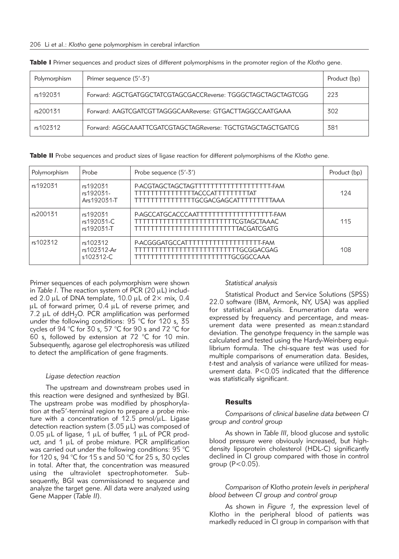| Polymorphism | Primer sequence (5'-3')                                       | Product (bp) |
|--------------|---------------------------------------------------------------|--------------|
| rs192031     | Forward: AGCTGATGGCTATCGTAGCGACCReverse: TGGGCTAGCTAGCTAGTCGG | 223          |
| rs200131     | Forward: AAGTCGATCGTTAGGGCAAReverse: GTGACTTAGGCCAATGAAA      | 302          |
| rs102312     | Forward: AGGCAAATTCGATCGTAGCTAGReverse: TGCTGTAGCTAGCTGATCG   | 381          |

Table I Primer sequences and product sizes of different polymorphisms in the promoter region of the *Klotho* gene.

Table II Probe sequences and product sizes of ligase reaction for different polymorphisms of the *Klotho* gene.

| Polymorphism | Probe                                | Probe sequence (5'-3')                                                                                                    | Product (bp) |
|--------------|--------------------------------------|---------------------------------------------------------------------------------------------------------------------------|--------------|
| rs192031     | rs192031<br>rs192031-<br>Ars192031-T | P-ACGTAGCTAGCTAGTTTTTTTTTTTTTTTTTTT-FAM<br>TTTTTTTTTTTTTTTACCCATTTTTTTTTAT<br>TTTTTTTTTTTTTTTGCGACGAGCATTTTTTTTTAAA       | 124          |
| rs200131     | rs192031<br>rs192031-C<br>rs192031-T | P-AGCCATGCACCCAATTTTTTTTTTTTTTTTTTFAM<br>TTTTTTTTTTTTTTTTTTTTTTTTTTTCGTAGCTAAAC<br>TTTTTTTTTTTTTTTTTTTTTTTTTTTTACGATCGATG | 115          |
| rs102312     | rs102312<br>rs102312-Ar<br>s102312-C | P-ACGGGATGCCATTTTTTTTTTTTTTTTTTT-FAM<br>TTTTTTTTTTTTTTTTTTTTTTTTTTTTGCGGACGAG<br>TTTTTTTTTTTTTTTTTTTTTTTTTGCGGCCAAA       | 108          |

Primer sequences of each polymorphism were shown in *Table I*. The reaction system of PCR (20 uL) included 2.0  $\mu$ L of DNA template, 10.0  $\mu$ L of 2 $\times$  mix, 0.4 µL of forward primer, 0.4 µL of reverse primer, and 7.2  $\mu$ L of ddH<sub>2</sub>O. PCR amplification was performed under the following conditions: 95 °C for 120 s, 35 cycles of 94 °C for 30 s, 57 °C for 90 s and 72 °C for 60 s, followed by extension at 72 °C for 10 min. Subsequently, agarose gel electrophoresis was utilized to detect the amplification of gene fragments.

#### *Ligase detection reaction*

The upstream and downstream probes used in this reaction were designed and synthesized by BGI. The upstream probe was modified by phosphorylation at the5'-terminal region to prepare a probe mixture with a concentration of 12.5  $pmol/μL$ . Ligase detection reaction system  $(3.05 \mu L)$  was composed of 0.05  $\mu$ L of ligase, 1  $\mu$ L of buffer, 1  $\mu$ L of PCR product, and  $1 \mu L$  of probe mixture. PCR amplification was carried out under the following conditions: 95 °C for 120 s, 94 °C for 15 s and 50 °C for 25 s, 30 cycles in total. After that, the concentration was measured using the ultraviolet spectrophotometer. Subsequently, BGI was commissioned to sequence and analyze the target gene. All data were analyzed using Gene Mapper (*Table II*).

#### *Statistical analysis*

Statistical Product and Service Solutions (SPSS) 22.0 software (IBM, Armonk, NY, USA) was applied for statistical analysis. Enumeration data were expressed by frequency and percentage, and measurement data were presented as mean±standard deviation. The genotype frequency in the sample was calculated and tested using the Hardy-Weinberg equilibrium formula. The chi-square test was used for multiple comparisons of enumeration data. Besides, *t*-test and analysis of variance were utilized for measurement data. P<0.05 indicated that the difference was statistically significant.

### **Results**

### *Comparisons of clinical baseline data between CI group and control group*

As shown in *Table III*, blood glucose and systolic blood pressure were obviously increased, but highdensity lipoprotein cholesterol (HDL-C) significantly declined in CI group compared with those in control group  $(P<0.05)$ .

*Comparison of* Klotho *protein levels in peripheral blood between CI group and control group*

As shown in *Figure 1*, the expression level of Klotho in the peripheral blood of patients was markedly reduced in CI group in comparison with that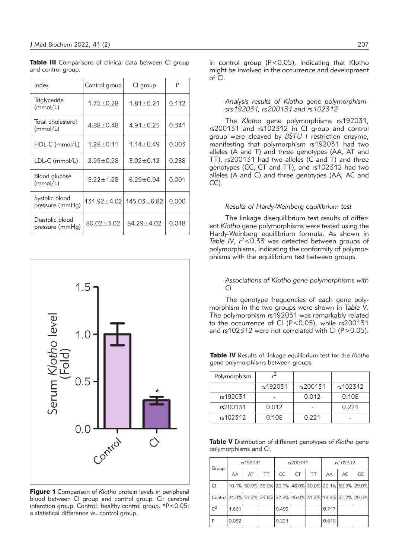Table III Comparisons of clinical data between CI group and control group.

| Index                              | Control group    | CI group                              |       |
|------------------------------------|------------------|---------------------------------------|-------|
| Triglyceride<br>(mmol/L)           | $1.75 \pm 0.28$  | $1.81 \pm 0.21$                       | 0.112 |
| Total cholesterol<br>(mmol/L)      | $4.88 + 0.48$    | $4.91 \pm 0.25$                       | 0.341 |
| $HDL-C$ (mmol/L)                   | $1.28 \pm 0.11$  | $1.14 \pm 0.49$                       | 0.003 |
| $LDL-C$ (mmol/L)                   | $2.99 \pm 0.28$  | $3.02 \pm 0.12$                       | 0.288 |
| Blood glucose<br>(mmol/L)          | $5.22 \pm 1.28$  | $6.29 \pm 0.94$                       | 0.001 |
| Systolic blood<br>pressure (mmHg)  |                  | $131.92 \pm 4.02$   $145.03 \pm 6.82$ | 0.000 |
| Diastolic blood<br>pressure (mmHg) | $80.02 \pm 3.02$ | $84.29 \pm 4.02$                      | 0.018 |



Figure 1 Comparison of *Klotho* protein levels in peripheral blood between CI group and control group. CI: cerebral infarction group. Control: healthy control group. \*P<0.05: a statistical difference vs. control group.

in control group (P<0.05), indicating that Klotho might be involved in the occurrence and development of CI.

#### *Analysis results of Klotho gene polymorphismsrs192031, rs200131 and rs102312*

The *Klotho* gene polymorphisms rs192031, rs200131 and rs102312 in CI group and control group were cleaved by *BSTU I* restriction enzyme, manifesting that polymorphism rs192031 had two alleles (A and T) and three genotypes (AA, AT and TT), rs200131 had two alleles (C and T) and three genotypes (CC, CT and TT), and rs102312 had two alleles (A and C) and three genotypes (AA, AC and CC).

### *Results of Hardy-Weinberg equilibrium test*

The linkage disequilibrium test results of different *Klotho* gene polymorphisms were tested using the Hardy-Weinberg equilibrium formula. As shown in *Table IV*, *r* 2<0.33 was detected between groups of polymorphisms, indicating the conformity of polymorphisms with the equilibrium test between groups.

### *Associations of Klotho gene polymorphisms with CI*

The genotype frequencies of each gene polymorphism in the two groups were shown in *Table V*. The polymorphism rs192031 was remarkably related to the occurrence of CI (P<0.05), while rs200131 and rs102312 were not correlated with CI (P>0.05).

Table IV Results of linkage equilibrium test for the *Klotho* gene polymorphisms between groups.

| Polymorphism |          |          |          |
|--------------|----------|----------|----------|
|              | rs192031 | rs200131 | rs102312 |
| rs192031     |          | 0.012    | 0.108    |
| rs200131     | 0.012    |          | 0.221    |
| rs102312     | 0.108    | 0.221    |          |

Table V Distribution of different genotypes of *Klotho* gene polymorphisms and CI.

| Group                                                         | rs192031 |    |                                                       | rs200131  |    |    | rs102312 |    |    |
|---------------------------------------------------------------|----------|----|-------------------------------------------------------|-----------|----|----|----------|----|----|
|                                                               | AA       | AT | TT                                                    | <b>CC</b> | CT | TT | AA       | AC | CC |
| CI                                                            |          |    | 10.1% 50.9% 39.0% 20.1% 48.0% 30.0% 20.1% 50.9% 29.0% |           |    |    |          |    |    |
| Control 24.0% 51.2% 24.8% 22.8% 46.0% 31.2% 19.3% 51.2% 29.5% |          |    |                                                       |           |    |    |          |    |    |
| C <sup>2</sup>                                                | 1.661    |    |                                                       | 0.499     |    |    | 0.717    |    |    |
| P                                                             | 0.032    |    |                                                       | 0.221     |    |    | 0.610    |    |    |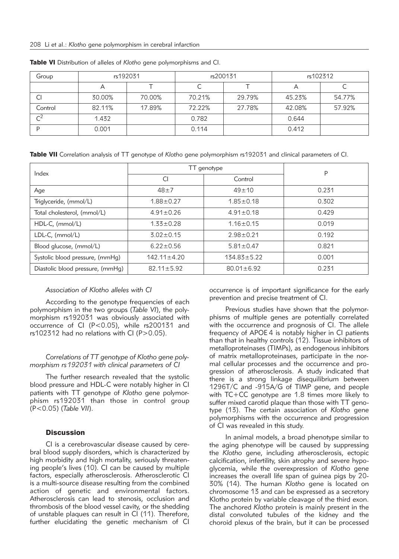| Group          | rs192031 |        | rs200131 |        | rs102312 |        |
|----------------|----------|--------|----------|--------|----------|--------|
|                | Α        |        |          |        | ∼        |        |
| CI             | 30.00%   | 70.00% | 70.21%   | 29.79% | 45.23%   | 54.77% |
| Control        | 82.11%   | 17.89% | 72.22%   | 27.78% | 42.08%   | 57.92% |
| $\mathsf{C}^2$ | 1.432    |        | 0.782    |        | 0.644    |        |
|                | 0.001    |        | 0.114    |        | 0.412    |        |

Table VI Distribution of alleles of *Klotho* gene polymorphisms and CI.

Table VII Correlation analysis of TT genotype of *Klotho* gene polymorphism rs192031 and clinical parameters of CI.

| Index                            | TT genotype       | P                 |       |  |
|----------------------------------|-------------------|-------------------|-------|--|
|                                  | CI                | Control           |       |  |
| Age                              | $48 + 7$          | $49 + 10$         | 0.231 |  |
| Triglyceride, (mmol/L)           | $1.88 + 0.27$     | $1.85 \pm 0.18$   | 0.302 |  |
| Total cholesterol, (mmol/L)      | $4.91 \pm 0.26$   | $4.91 \pm 0.18$   | 0.429 |  |
| $HDL-C$ , (mmol/L)               | $1.33 \pm 0.28$   | $1.16 \pm 0.15$   | 0.019 |  |
| $LDL-C, (mmol/L)$                | $3.02 \pm 0.15$   | $2.98 \pm 0.21$   | 0.192 |  |
| Blood glucose, (mmol/L)          | $6.22 \pm 0.56$   | $5.81 \pm 0.47$   | 0.821 |  |
| Systolic blood pressure, (mmHg)  | $142.11 \pm 4.20$ | $134.83 \pm 5.22$ | 0.001 |  |
| Diastolic blood pressure, (mmHg) | $82.11 \pm 5.92$  | $80.01 \pm 6.92$  | 0.231 |  |

## *Association of Klotho alleles with CI*

According to the genotype frequencies of each polymorphism in the two groups (*Table VI*), the polymorphism rs192031 was obviously associated with occurrence of CI (P<0.05), while rs200131 and rs102312 had no relations with CI (P>0.05).

## *Correlations of TT genotype of Klotho gene polymorphism rs192031 with clinical parameters of CI*

The further research revealed that the systolic blood pressure and HDL-C were notably higher in CI patients with TT genotype of *Klotho* gene polymorphism rs192031 than those in control group (P<0.05) (*Table VII*).

## **Discussion**

CI is a cerebrovascular disease caused by cerebral blood supply disorders, which is characterized by high morbidity and high mortality, seriously threatening people's lives (10). CI can be caused by multiple factors, especially atherosclerosis. Atherosclerotic CI is a multi-source disease resulting from the combined action of genetic and environmental factors. Atherosclerosis can lead to stenosis, occlusion and thrombosis of the blood vessel cavity, or the shedding of unstable plaques can result in CI (11). Therefore, further elucidating the genetic mechanism of CI

occurrence is of important significance for the early prevention and precise treatment of CI.

Previous studies have shown that the polymorphisms of multiple genes are potentially correlated with the occurrence and prognosis of CI. The allele frequency of APOE 4 is notably higher in CI patients than that in healthy controls (12). Tissue inhibitors of metalloproteinases (TIMPs), as endogenous inhibitors of matrix metalloproteinases, participate in the normal cellular processes and the occurrence and progression of atherosclerosis. A study indicated that there is a strong linkage disequilibrium between 1296T/C and -915A/G of TIMP gene, and people with  $TC+CC$  genotype are 1.8 times more likely to suffer mixed carotid plaque than those with TT genotype (13). The certain association of *Klotho* gene polymorphisms with the occurrence and progression of CI was revealed in this study.

In animal models, a broad phenotype similar to the aging phenotype will be caused by suppressing the *Klotho* gene, including atherosclerosis, ectopic calcification, infertility, skin atrophy and severe hypoglycemia, while the overexpression of *Klotho* gene increases the overall life span of guinea pigs by 20- 30% (14). The human *Klotho* gene is located on chromosome 13 and can be expressed as a secretory Klotho protein by variable cleavage of the third exon. The anchored *Klotho* protein is mainly present in the distal convoluted tubules of the kidney and the choroid plexus of the brain, but it can be processed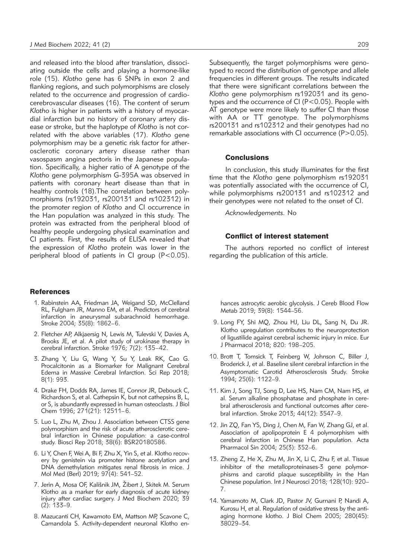and released into the blood after translation, dissociating outside the cells and playing a hormone-like role (15). *Klotho* gene has 6 SNPs in exon 2 and flanking regions, and such polymorphisms are closely related to the occurrence and progression of cardiocerebrovascular diseases (16). The content of serum *Klotho* is higher in patients with a history of myocardial infarction but no history of coronary artery disease or stroke, but the haplotype of *Klotho* is not correlated with the above variables (17). *Klotho* gene polymorphism may be a genetic risk factor for atherosclerotic coronary artery disease rather than vasospasm angina pectoris in the Japanese population. Specifically, a higher ratio of A genotype of the *Klotho* gene polymorphism G-395A was observed in patients with coronary heart disease than that in healthy controls (18).The correlation between polymorphisms (rs192031, rs200131 and rs102312) in the promoter region of *Klotho* and CI occurrence in the Han population was analyzed in this study. The protein was extracted from the peripheral blood of healthy people undergoing physical examination and CI patients. First, the results of ELISA revealed that the expression of *Klotho* protein was lower in the peripheral blood of patients in CI group (P<0.05).

#### References

- 1. Rabinstein AA, Friedman JA, Weigand SD, McClelland RL, Fulgham JR, Manno EM, et al. Predictors of cerebral infarction in aneurysmal subarachnoid hemorrhage. Stroke 2004; 35(8): 1862–6.
- 2. Fletcher AP, Alkjaersig N, Lewis M, Tulevski V, Davies A, Brooks JE, et al. A pilot study of urokinase therapy in cerebral infarction. Stroke 1976; 7(2): 135–42.
- 3. Zhang Y, Liu G, Wang Y, Su Y, Leak RK, Cao G. Procalcitonin as a Biomarker for Malignant Cerebral Edema in Massive Cerebral Infarction. Sci Rep 2018; 8(1): 993.
- 4. Drake FH, Dodds RA, James IE, Connor JR, Debouck C, Richardson S, et al. Cathepsin K, but not cathepsins B, L, or S, is abundantly expressed in human osteoclasts. J Biol Chem 1996; 271(21): 12511–6.
- 5. Luo L, Zhu M, Zhou J. Association between CTSS gene polymorphism and the risk of acute atherosclerotic cerebral infarction in Chinese population: a case-control study. Biosci Rep 2018; 38(6): BSR20180586.
- 6. Li Y, Chen F, Wei A, Bi F, Zhu X, Yin S, et al. Klotho recovery by genistein via promoter histone acetylation and DNA demethylation mitigates renal fibrosis in mice. J Mol Med (Berl) 2019; 97(4): 541–52.
- 7. Jerin A, Mosa OF, Kališnik JM, Žibert J, Skitek M. Serum Klotho as a marker for early diagnosis of acute kidney injury after cardiac surgery. J Med Biochem 2020; 39 (2): 133–9.
- 8. Mazucanti CH, Kawamoto EM, Mattson MP, Scavone C, Camandola S. Activity-dependent neuronal Klotho en-

Subsequently, the target polymorphisms were genotyped to record the distribution of genotype and allele frequencies in different groups. The results indicated that there were significant correlations between the *Klotho* gene polymorphism rs192031 and its genotypes and the occurrence of CI (P<0.05). People with AT genotype were more likely to suffer CI than those with AA or TT genotype. The polymorphisms rs200131 and rs102312 and their genotypes had no remarkable associations with CI occurrence (P>0.05).

#### **Conclusions**

In conclusion, this study illuminates for the first time that the *Klotho* gene polymorphism rs192031 was potentially associated with the occurrence of CI, while polymorphisms rs200131 and rs102312 and their genotypes were not related to the onset of CI.

*Acknowledgements.* No

#### Conflict of interest statement

The authors reported no conflict of interest regarding the publication of this article.

- hances astrocytic aerobic glycolysis. J Cereb Blood Flow Metab 2019; 39(8): 1544–56.
- 9. Long FY, Shi MQ, Zhou HJ, Liu DL, Sang N, Du JR. Klotho upregulation contributes to the neuroprotection of ligustilide against cerebral ischemic injury in mice. Eur J Pharmacol 2018; 820: 198–205.
- 10. Brott T, Tomsick T, Feinberg W, Johnson C, Biller J, Broderick J, et al. Baseline silent cerebral infarction in the Asymptomatic Carotid Atherosclerosis Study. Stroke 1994; 25(6): 1122–9.
- 11. Kim J, Song TJ, Song D, Lee HS, Nam CM, Nam HS, et al. Serum alkaline phosphatase and phosphate in cerebral atherosclerosis and functional outcomes after cerebral infarction. Stroke 2013; 44(12): 3547–9.
- 12. Jin ZQ, Fan YS, Ding J, Chen M, Fan W, Zhang GJ, et al. Association of apolipoprotein E 4 polymorphism with cerebral infarction in Chinese Han population. Acta Pharmacol Sin 2004; 25(3): 352–6.
- 13. Zheng Z, He X, Zhu M, Jin X, Li C, Zhu F, et al. Tissue inhibitor of the metalloproteinases-3 gene polymorphisms and carotid plaque susceptibility in the Han Chinese population. Int J Neurosci 2018; 128(10): 920– 7.
- 14. Yamamoto M, Clark JD, Pastor JV, Gurnani P, Nandi A, Kurosu H, et al. Regulation of oxidative stress by the antiaging hormone klotho. J Biol Chem 2005; 280(45): 38029–34.